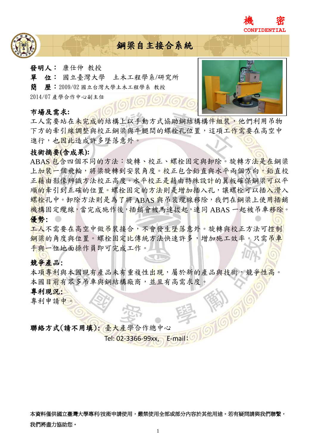



# 鋼梁自主接合系統

- 發明人: 康仕仲 教授
- 單位: 國立臺灣大學 土木工程學系/研究所
- 簡歷:2009/02 國立台灣大學土木工程學系 教授

2014/07 產學合作中心副主任

#### 市場及需求**:**



工人需要站在未完成的結構上以手動方式協助鋼結構構件組裝,他們利用吊物 下方的牽引線調整與校正鋼梁與牛腿間的螺栓孔位置,這項工作需要在高空中 進行,也因此造成許多墜落意外。

# 技術摘要**(**含成果**):**

ABAS 包含四個不同的方法:旋轉、校正、螺栓固定與卸除。旋轉方法是在鋼梁 上加裝一個飛輪,將梁旋轉到安裝角度。校正包含鉛直與水平兩個方向,鉛直校 正籍由影像辨識方法校正高度。水平校正是藉由特殊設計的翼板確保鋼梁可以平 順的牽引到正確的位置。螺栓固定的方法則是增加插入孔,讓螺栓可以插入滑入 螺栓孔中。卸除方法則是為了將 ABAS 與吊裝纜線移除, 我們在鋼梁上使用插銷 機構固定纜線,當完成施作後,插銷會被馬達拔起,連同 ABAS 一起被吊車移除。 優勢:

工人不需要在高空中做吊裝接合,不會發生墜落意外。旋轉與校正方法可控制 鋼梁的角度與位置。螺栓固定比傳統方法快速許多,增加施工效率。只需吊車 手與一位地面操作員即可完成工作。

# 競爭產品:

本項專利與本國現有產品未有重複性出現,屬於新的產品與技術,競爭性高。 本國目前有眾多吊車與鋼結構廠商,並且有高需求度。

#### 專利現況:

專利申請中。

# 聯絡方式(請不用填): 臺大產學合作總中心

Tel: 02-3366-99xx, E-mail:

本資料僅供國立臺灣大學專利/技術申請使用,嚴禁使用全部或部分內容於其他用途。若有疑問請與我們聯繫, 我們將盡力協助您。